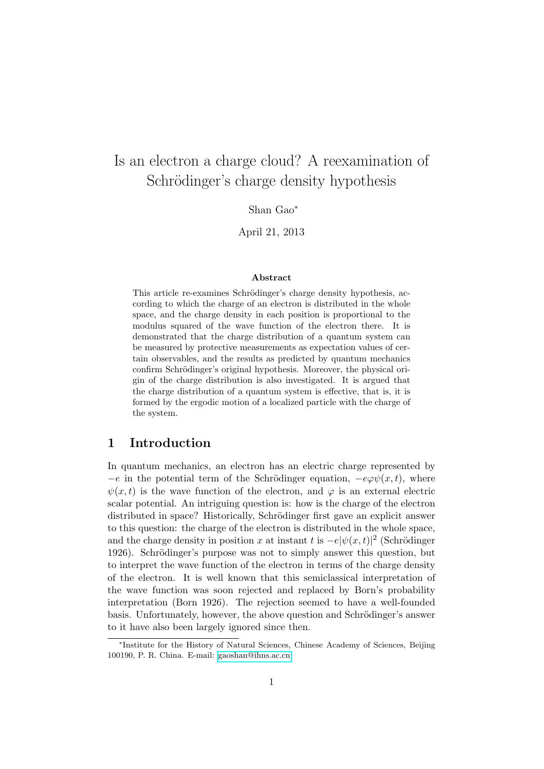# Is an electron a charge cloud? A reexamination of Schrödinger's charge density hypothesis

Shan Gao<sup>∗</sup>

April 21, 2013

#### Abstract

This article re-examines Schrödinger's charge density hypothesis, according to which the charge of an electron is distributed in the whole space, and the charge density in each position is proportional to the modulus squared of the wave function of the electron there. It is demonstrated that the charge distribution of a quantum system can be measured by protective measurements as expectation values of certain observables, and the results as predicted by quantum mechanics confirm Schrödinger's original hypothesis. Moreover, the physical origin of the charge distribution is also investigated. It is argued that the charge distribution of a quantum system is effective, that is, it is formed by the ergodic motion of a localized particle with the charge of the system.

#### 1 Introduction

In quantum mechanics, an electron has an electric charge represented by  $-e$  in the potential term of the Schrödinger equation,  $-e\varphi\psi(x,t)$ , where  $\psi(x, t)$  is the wave function of the electron, and  $\varphi$  is an external electric scalar potential. An intriguing question is: how is the charge of the electron distributed in space? Historically, Schrödinger first gave an explicit answer to this question: the charge of the electron is distributed in the whole space, and the charge density in position x at instant t is  $-e|\psi(x,t)|^2$  (Schrödinger 1926). Schrödinger's purpose was not to simply answer this question, but to interpret the wave function of the electron in terms of the charge density of the electron. It is well known that this semiclassical interpretation of the wave function was soon rejected and replaced by Born's probability interpretation (Born 1926). The rejection seemed to have a well-founded basis. Unfortunately, however, the above question and Schrödinger's answer to it have also been largely ignored since then.

<sup>∗</sup> Institute for the History of Natural Sciences, Chinese Academy of Sciences, Beijing 100190, P. R. China. E-mail: [gaoshan@ihns.ac.cn.](mailto: gaoshan@ihns.ac.cn)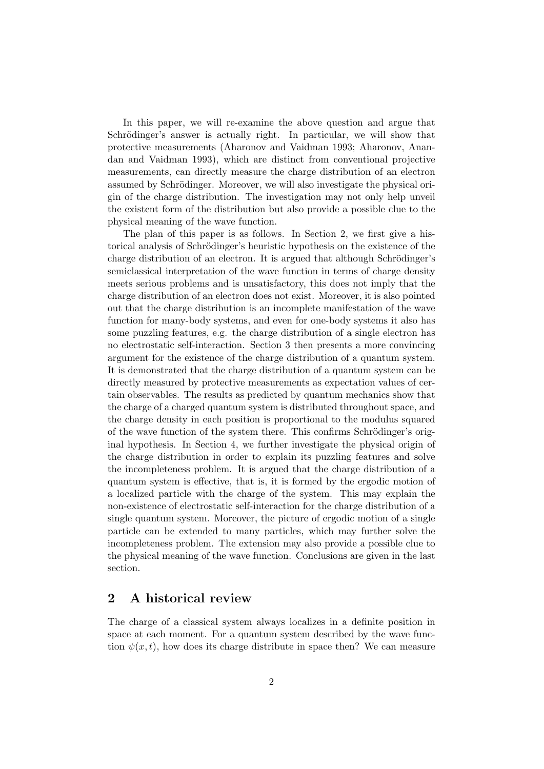In this paper, we will re-examine the above question and argue that Schrödinger's answer is actually right. In particular, we will show that protective measurements (Aharonov and Vaidman 1993; Aharonov, Anandan and Vaidman 1993), which are distinct from conventional projective measurements, can directly measure the charge distribution of an electron assumed by Schrödinger. Moreover, we will also investigate the physical origin of the charge distribution. The investigation may not only help unveil the existent form of the distribution but also provide a possible clue to the physical meaning of the wave function.

The plan of this paper is as follows. In Section 2, we first give a historical analysis of Schrödinger's heuristic hypothesis on the existence of the charge distribution of an electron. It is argued that although Schrödinger's semiclassical interpretation of the wave function in terms of charge density meets serious problems and is unsatisfactory, this does not imply that the charge distribution of an electron does not exist. Moreover, it is also pointed out that the charge distribution is an incomplete manifestation of the wave function for many-body systems, and even for one-body systems it also has some puzzling features, e.g. the charge distribution of a single electron has no electrostatic self-interaction. Section 3 then presents a more convincing argument for the existence of the charge distribution of a quantum system. It is demonstrated that the charge distribution of a quantum system can be directly measured by protective measurements as expectation values of certain observables. The results as predicted by quantum mechanics show that the charge of a charged quantum system is distributed throughout space, and the charge density in each position is proportional to the modulus squared of the wave function of the system there. This confirms Schrödinger's original hypothesis. In Section 4, we further investigate the physical origin of the charge distribution in order to explain its puzzling features and solve the incompleteness problem. It is argued that the charge distribution of a quantum system is effective, that is, it is formed by the ergodic motion of a localized particle with the charge of the system. This may explain the non-existence of electrostatic self-interaction for the charge distribution of a single quantum system. Moreover, the picture of ergodic motion of a single particle can be extended to many particles, which may further solve the incompleteness problem. The extension may also provide a possible clue to the physical meaning of the wave function. Conclusions are given in the last section.

## 2 A historical review

The charge of a classical system always localizes in a definite position in space at each moment. For a quantum system described by the wave function  $\psi(x, t)$ , how does its charge distribute in space then? We can measure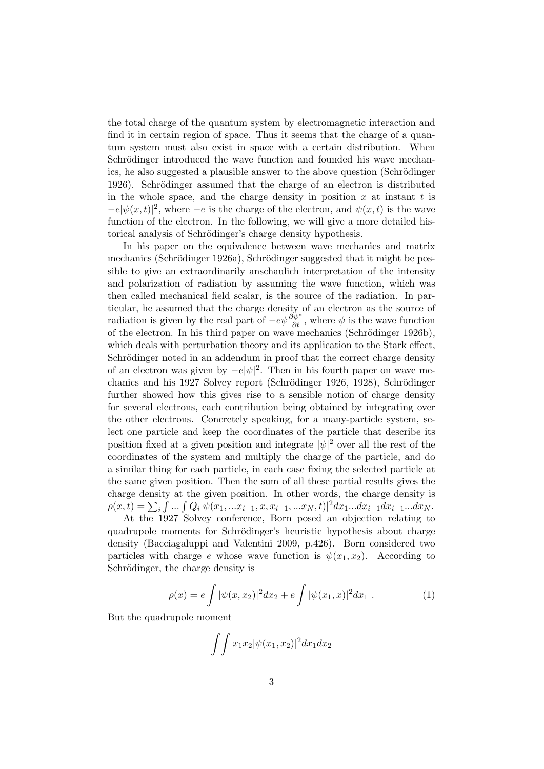the total charge of the quantum system by electromagnetic interaction and find it in certain region of space. Thus it seems that the charge of a quantum system must also exist in space with a certain distribution. When Schrödinger introduced the wave function and founded his wave mechanics, he also suggested a plausible answer to the above question (Schrödinger 1926). Schrödinger assumed that the charge of an electron is distributed in the whole space, and the charge density in position  $x$  at instant  $t$  is  $-e|\psi(x,t)|^2$ , where  $-e$  is the charge of the electron, and  $\psi(x,t)$  is the wave function of the electron. In the following, we will give a more detailed historical analysis of Schrödinger's charge density hypothesis.

In his paper on the equivalence between wave mechanics and matrix mechanics (Schrödinger 1926a), Schrödinger suggested that it might be possible to give an extraordinarily anschaulich interpretation of the intensity and polarization of radiation by assuming the wave function, which was then called mechanical field scalar, is the source of the radiation. In particular, he assumed that the charge density of an electron as the source of radiation is given by the real part of  $-e\psi \frac{\partial \psi^*}{\partial t}$ , where  $\psi$  is the wave function of the electron. In his third paper on wave mechanics (Schrödinger 1926b), which deals with perturbation theory and its application to the Stark effect, Schrödinger noted in an addendum in proof that the correct charge density of an electron was given by  $-e|\psi|^2$ . Then in his fourth paper on wave mechanics and his 1927 Solvey report (Schrödinger 1926, 1928), Schrödinger further showed how this gives rise to a sensible notion of charge density for several electrons, each contribution being obtained by integrating over the other electrons. Concretely speaking, for a many-particle system, select one particle and keep the coordinates of the particle that describe its position fixed at a given position and integrate  $|\psi|^2$  over all the rest of the coordinates of the system and multiply the charge of the particle, and do a similar thing for each particle, in each case fixing the selected particle at the same given position. Then the sum of all these partial results gives the charge density at the given position. In other words, the charge density is  $\rho(x,t) = \sum_i \int ... \int Q_i |\psi(x_1, ...x_{i-1}, x, x_{i+1}, ...x_N, t)|^2 dx_1...dx_{i-1} dx_{i+1}...dx_N.$ 

At the 1927 Solvey conference, Born posed an objection relating to quadrupole moments for Schrödinger's heuristic hypothesis about charge density (Bacciagaluppi and Valentini 2009, p.426). Born considered two particles with charge e whose wave function is  $\psi(x_1, x_2)$ . According to Schrödinger, the charge density is

$$
\rho(x) = e \int |\psi(x, x_2)|^2 dx_2 + e \int |\psi(x_1, x)|^2 dx_1 . \tag{1}
$$

But the quadrupole moment

$$
\int \int x_1 x_2 |\psi(x_1, x_2)|^2 dx_1 dx_2
$$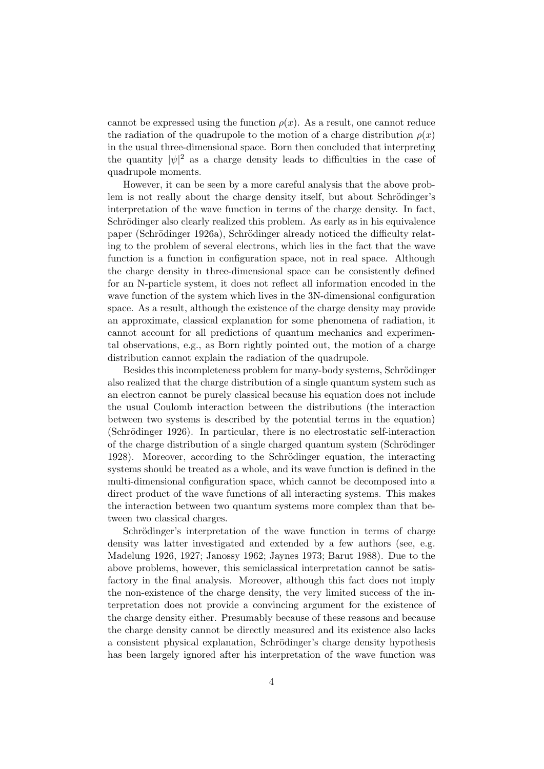cannot be expressed using the function  $\rho(x)$ . As a result, one cannot reduce the radiation of the quadrupole to the motion of a charge distribution  $\rho(x)$ in the usual three-dimensional space. Born then concluded that interpreting the quantity  $|\psi|^2$  as a charge density leads to difficulties in the case of quadrupole moments.

However, it can be seen by a more careful analysis that the above problem is not really about the charge density itself, but about Schrödinger's interpretation of the wave function in terms of the charge density. In fact, Schrödinger also clearly realized this problem. As early as in his equivalence paper (Schrödinger 1926a), Schrödinger already noticed the difficulty relating to the problem of several electrons, which lies in the fact that the wave function is a function in configuration space, not in real space. Although the charge density in three-dimensional space can be consistently defined for an N-particle system, it does not reflect all information encoded in the wave function of the system which lives in the 3N-dimensional configuration space. As a result, although the existence of the charge density may provide an approximate, classical explanation for some phenomena of radiation, it cannot account for all predictions of quantum mechanics and experimental observations, e.g., as Born rightly pointed out, the motion of a charge distribution cannot explain the radiation of the quadrupole.

Besides this incompleteness problem for many-body systems, Schrödinger also realized that the charge distribution of a single quantum system such as an electron cannot be purely classical because his equation does not include the usual Coulomb interaction between the distributions (the interaction between two systems is described by the potential terms in the equation) (Schrödinger 1926). In particular, there is no electrostatic self-interaction of the charge distribution of a single charged quantum system (Schrödinger 1928). Moreover, according to the Schrödinger equation, the interacting systems should be treated as a whole, and its wave function is defined in the multi-dimensional configuration space, which cannot be decomposed into a direct product of the wave functions of all interacting systems. This makes the interaction between two quantum systems more complex than that between two classical charges.

Schrödinger's interpretation of the wave function in terms of charge density was latter investigated and extended by a few authors (see, e.g. Madelung 1926, 1927; Janossy 1962; Jaynes 1973; Barut 1988). Due to the above problems, however, this semiclassical interpretation cannot be satisfactory in the final analysis. Moreover, although this fact does not imply the non-existence of the charge density, the very limited success of the interpretation does not provide a convincing argument for the existence of the charge density either. Presumably because of these reasons and because the charge density cannot be directly measured and its existence also lacks a consistent physical explanation, Schrödinger's charge density hypothesis has been largely ignored after his interpretation of the wave function was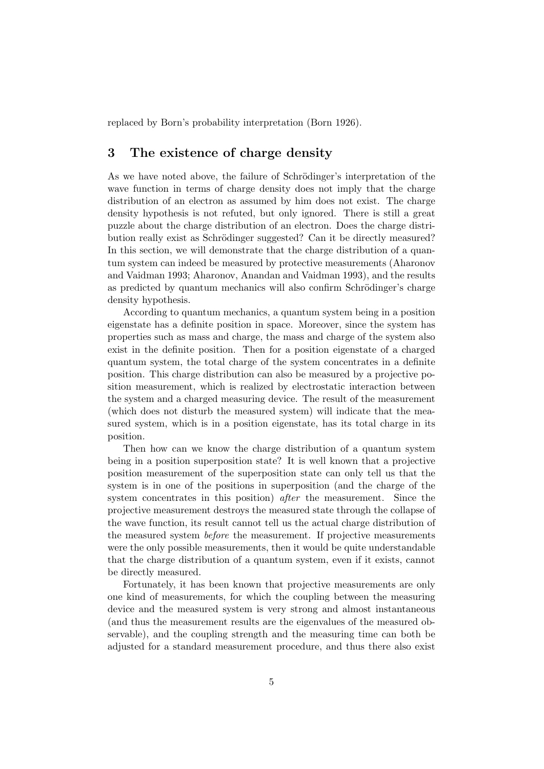replaced by Born's probability interpretation (Born 1926).

#### 3 The existence of charge density

As we have noted above, the failure of Schrödinger's interpretation of the wave function in terms of charge density does not imply that the charge distribution of an electron as assumed by him does not exist. The charge density hypothesis is not refuted, but only ignored. There is still a great puzzle about the charge distribution of an electron. Does the charge distribution really exist as Schrödinger suggested? Can it be directly measured? In this section, we will demonstrate that the charge distribution of a quantum system can indeed be measured by protective measurements (Aharonov and Vaidman 1993; Aharonov, Anandan and Vaidman 1993), and the results as predicted by quantum mechanics will also confirm Schrödinger's charge density hypothesis.

According to quantum mechanics, a quantum system being in a position eigenstate has a definite position in space. Moreover, since the system has properties such as mass and charge, the mass and charge of the system also exist in the definite position. Then for a position eigenstate of a charged quantum system, the total charge of the system concentrates in a definite position. This charge distribution can also be measured by a projective position measurement, which is realized by electrostatic interaction between the system and a charged measuring device. The result of the measurement (which does not disturb the measured system) will indicate that the measured system, which is in a position eigenstate, has its total charge in its position.

Then how can we know the charge distribution of a quantum system being in a position superposition state? It is well known that a projective position measurement of the superposition state can only tell us that the system is in one of the positions in superposition (and the charge of the system concentrates in this position) *after* the measurement. Since the projective measurement destroys the measured state through the collapse of the wave function, its result cannot tell us the actual charge distribution of the measured system before the measurement. If projective measurements were the only possible measurements, then it would be quite understandable that the charge distribution of a quantum system, even if it exists, cannot be directly measured.

Fortunately, it has been known that projective measurements are only one kind of measurements, for which the coupling between the measuring device and the measured system is very strong and almost instantaneous (and thus the measurement results are the eigenvalues of the measured observable), and the coupling strength and the measuring time can both be adjusted for a standard measurement procedure, and thus there also exist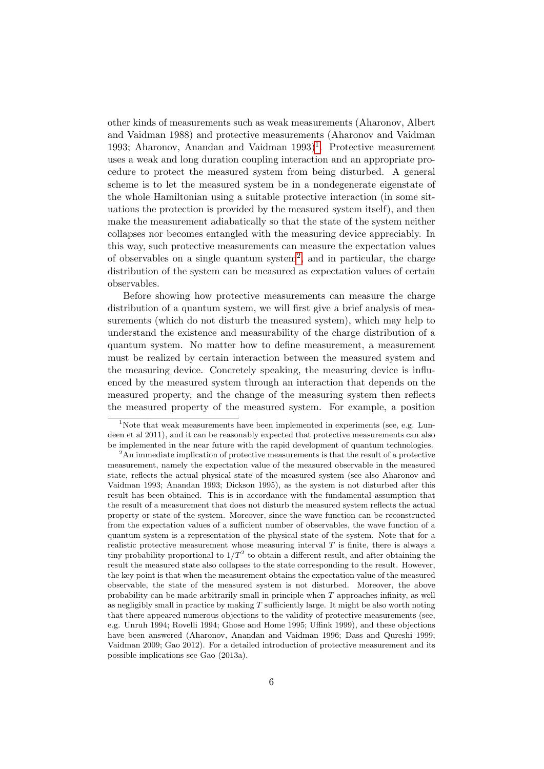other kinds of measurements such as weak measurements (Aharonov, Albert and Vaidman 1988) and protective measurements (Aharonov and Vaidman [1](#page-5-0)993; Aharonov, Anandan and Vaidman  $1993$ <sup>1</sup>. Protective measurement uses a weak and long duration coupling interaction and an appropriate procedure to protect the measured system from being disturbed. A general scheme is to let the measured system be in a nondegenerate eigenstate of the whole Hamiltonian using a suitable protective interaction (in some situations the protection is provided by the measured system itself), and then make the measurement adiabatically so that the state of the system neither collapses nor becomes entangled with the measuring device appreciably. In this way, such protective measurements can measure the expectation values of observables on a single quantum system<sup>[2](#page-5-1)</sup>, and in particular, the charge distribution of the system can be measured as expectation values of certain observables.

Before showing how protective measurements can measure the charge distribution of a quantum system, we will first give a brief analysis of measurements (which do not disturb the measured system), which may help to understand the existence and measurability of the charge distribution of a quantum system. No matter how to define measurement, a measurement must be realized by certain interaction between the measured system and the measuring device. Concretely speaking, the measuring device is influenced by the measured system through an interaction that depends on the measured property, and the change of the measuring system then reflects the measured property of the measured system. For example, a position

<span id="page-5-0"></span> $1$ Note that weak measurements have been implemented in experiments (see, e.g. Lundeen et al 2011), and it can be reasonably expected that protective measurements can also be implemented in the near future with the rapid development of quantum technologies.

<span id="page-5-1"></span> $2\text{An immediate implication of protective measurements is that the result of a protective}$ measurement, namely the expectation value of the measured observable in the measured state, reflects the actual physical state of the measured system (see also Aharonov and Vaidman 1993; Anandan 1993; Dickson 1995), as the system is not disturbed after this result has been obtained. This is in accordance with the fundamental assumption that the result of a measurement that does not disturb the measured system reflects the actual property or state of the system. Moreover, since the wave function can be reconstructed from the expectation values of a sufficient number of observables, the wave function of a quantum system is a representation of the physical state of the system. Note that for a realistic protective measurement whose measuring interval  $T$  is finite, there is always a tiny probability proportional to  $1/T^2$  to obtain a different result, and after obtaining the result the measured state also collapses to the state corresponding to the result. However, the key point is that when the measurement obtains the expectation value of the measured observable, the state of the measured system is not disturbed. Moreover, the above probability can be made arbitrarily small in principle when  $T$  approaches infinity, as well as negligibly small in practice by making  $T$  sufficiently large. It might be also worth noting that there appeared numerous objections to the validity of protective measurements (see, e.g. Unruh 1994; Rovelli 1994; Ghose and Home 1995; Uffink 1999), and these objections have been answered (Aharonov, Anandan and Vaidman 1996; Dass and Qureshi 1999; Vaidman 2009; Gao 2012). For a detailed introduction of protective measurement and its possible implications see Gao (2013a).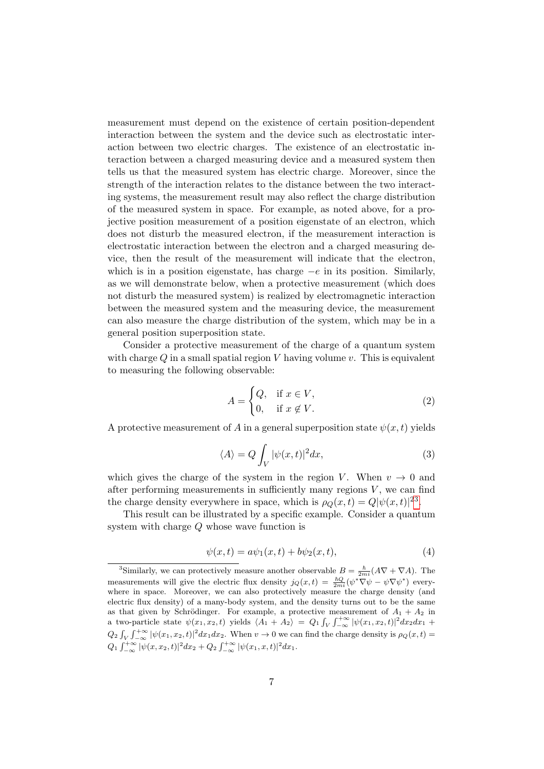measurement must depend on the existence of certain position-dependent interaction between the system and the device such as electrostatic interaction between two electric charges. The existence of an electrostatic interaction between a charged measuring device and a measured system then tells us that the measured system has electric charge. Moreover, since the strength of the interaction relates to the distance between the two interacting systems, the measurement result may also reflect the charge distribution of the measured system in space. For example, as noted above, for a projective position measurement of a position eigenstate of an electron, which does not disturb the measured electron, if the measurement interaction is electrostatic interaction between the electron and a charged measuring device, then the result of the measurement will indicate that the electron, which is in a position eigenstate, has charge  $-e$  in its position. Similarly, as we will demonstrate below, when a protective measurement (which does not disturb the measured system) is realized by electromagnetic interaction between the measured system and the measuring device, the measurement can also measure the charge distribution of the system, which may be in a general position superposition state.

Consider a protective measurement of the charge of a quantum system with charge  $Q$  in a small spatial region  $V$  having volume  $v$ . This is equivalent to measuring the following observable:

$$
A = \begin{cases} Q, & \text{if } x \in V, \\ 0, & \text{if } x \notin V. \end{cases}
$$
 (2)

A protective measurement of A in a general superposition state  $\psi(x, t)$  yields

$$
\langle A \rangle = Q \int_{V} |\psi(x, t)|^2 dx, \tag{3}
$$

which gives the charge of the system in the region V. When  $v \to 0$  and after performing measurements in sufficiently many regions  $V$ , we can find the charge density everywhere in space, which is  $\rho_Q(x,t) = Q|\psi(x,t)|^{23}$  $\rho_Q(x,t) = Q|\psi(x,t)|^{23}$  $\rho_Q(x,t) = Q|\psi(x,t)|^{23}$ .

This result can be illustrated by a specific example. Consider a quantum system with charge Q whose wave function is

$$
\psi(x,t) = a\psi_1(x,t) + b\psi_2(x,t),\tag{4}
$$

<span id="page-6-0"></span><sup>&</sup>lt;sup>3</sup>Similarly, we can protectively measure another observable  $B = \frac{\hbar}{2mi}(A\nabla + \nabla A)$ . The measurements will give the electric flux density  $j_Q(x,t) = \frac{\hbar Q}{2mi} (\psi^* \nabla \psi - \psi \nabla \psi^*)$  everywhere in space. Moreover, we can also protectively measure the charge density (and electric flux density) of a many-body system, and the density turns out to be the same as that given by Schrödinger. For example, a protective measurement of  $A_1 + A_2$  in a two-particle state  $\psi(x_1, x_2, t)$  yields  $\langle A_1 + A_2 \rangle = Q_1 \int_V \int_{-\infty}^{+\infty} |\psi(x_1, x_2, t)|^2 dx_2 dx_1 +$  $Q_2 \int_V \int_{-\infty}^{+\infty} |\psi(x_1, x_2, t)|^2 dx_1 dx_2$ . When  $v \to 0$  we can find the charge density is  $\rho_Q(x, t)$  $Q_1 \int_{-\infty}^{+\infty} |\psi(x, x_2, t)|^2 dx_2 + Q_2 \int_{-\infty}^{+\infty} |\psi(x_1, x, t)|^2 dx_1.$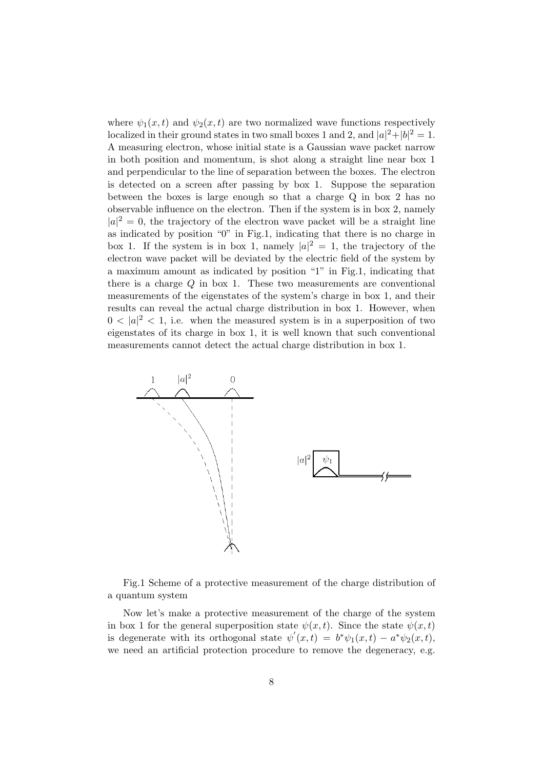where  $\psi_1(x,t)$  and  $\psi_2(x,t)$  are two normalized wave functions respectively localized in their ground states in two small boxes 1 and 2, and  $|a|^2+|b|^2=1$ . A measuring electron, whose initial state is a Gaussian wave packet narrow in both position and momentum, is shot along a straight line near box 1 and perpendicular to the line of separation between the boxes. The electron is detected on a screen after passing by box 1. Suppose the separation between the boxes is large enough so that a charge Q in box 2 has no observable influence on the electron. Then if the system is in box 2, namely  $|a|^2 = 0$ , the trajectory of the electron wave packet will be a straight line as indicated by position "0" in Fig.1, indicating that there is no charge in box 1. If the system is in box 1, namely  $|a|^2 = 1$ , the trajectory of the electron wave packet will be deviated by the electric field of the system by a maximum amount as indicated by position "1" in Fig.1, indicating that there is a charge  $Q$  in box 1. These two measurements are conventional measurements of the eigenstates of the system's charge in box 1, and their results can reveal the actual charge distribution in box 1. However, when  $0 < |a|^2 < 1$ , i.e. when the measured system is in a superposition of two eigenstates of its charge in box 1, it is well known that such conventional measurements cannot detect the actual charge distribution in box 1.



Fig.1 Scheme of a protective measurement of the charge distribution of a quantum system

Now let's make a protective measurement of the charge of the system in box 1 for the general superposition state  $\psi(x,t)$ . Since the state  $\psi(x,t)$ is degenerate with its orthogonal state  $\psi'(x,t) = b^*\psi_1(x,t) - a^*\psi_2(x,t)$ , we need an artificial protection procedure to remove the degeneracy, e.g.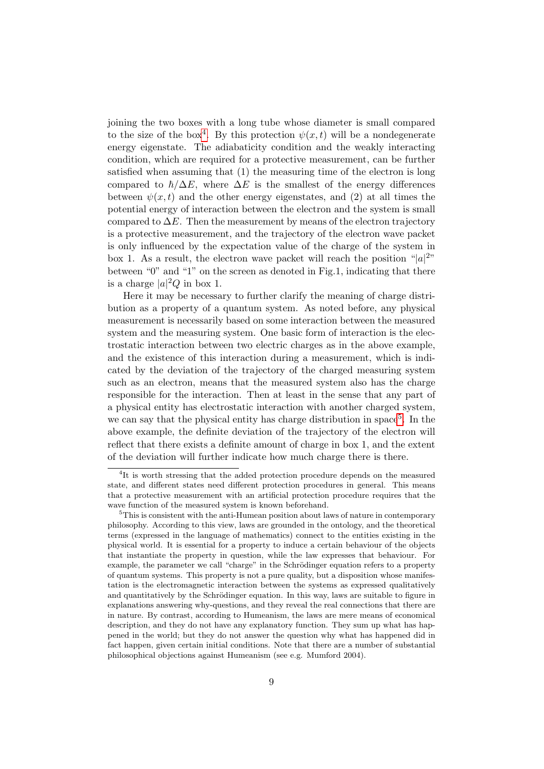joining the two boxes with a long tube whose diameter is small compared to the size of the box<sup>[4](#page-8-0)</sup>. By this protection  $\psi(x,t)$  will be a nondegenerate energy eigenstate. The adiabaticity condition and the weakly interacting condition, which are required for a protective measurement, can be further satisfied when assuming that (1) the measuring time of the electron is long compared to  $\hbar/\Delta E$ , where  $\Delta E$  is the smallest of the energy differences between  $\psi(x, t)$  and the other energy eigenstates, and (2) at all times the potential energy of interaction between the electron and the system is small compared to  $\Delta E$ . Then the measurement by means of the electron trajectory is a protective measurement, and the trajectory of the electron wave packet is only influenced by the expectation value of the charge of the system in box 1. As a result, the electron wave packet will reach the position " $|a|^{2}$ " between "0" and "1" on the screen as denoted in Fig.1, indicating that there is a charge  $|a|^2Q$  in box 1.

Here it may be necessary to further clarify the meaning of charge distribution as a property of a quantum system. As noted before, any physical measurement is necessarily based on some interaction between the measured system and the measuring system. One basic form of interaction is the electrostatic interaction between two electric charges as in the above example, and the existence of this interaction during a measurement, which is indicated by the deviation of the trajectory of the charged measuring system such as an electron, means that the measured system also has the charge responsible for the interaction. Then at least in the sense that any part of a physical entity has electrostatic interaction with another charged system, we can say that the physical entity has charge distribution in space<sup>[5](#page-8-1)</sup>. In the above example, the definite deviation of the trajectory of the electron will reflect that there exists a definite amount of charge in box 1, and the extent of the deviation will further indicate how much charge there is there.

<span id="page-8-0"></span><sup>&</sup>lt;sup>4</sup>It is worth stressing that the added protection procedure depends on the measured state, and different states need different protection procedures in general. This means that a protective measurement with an artificial protection procedure requires that the wave function of the measured system is known beforehand.

<span id="page-8-1"></span><sup>&</sup>lt;sup>5</sup>This is consistent with the anti-Humean position about laws of nature in contemporary philosophy. According to this view, laws are grounded in the ontology, and the theoretical terms (expressed in the language of mathematics) connect to the entities existing in the physical world. It is essential for a property to induce a certain behaviour of the objects that instantiate the property in question, while the law expresses that behaviour. For example, the parameter we call "charge" in the Schrödinger equation refers to a property of quantum systems. This property is not a pure quality, but a disposition whose manifestation is the electromagnetic interaction between the systems as expressed qualitatively and quantitatively by the Schrödinger equation. In this way, laws are suitable to figure in explanations answering why-questions, and they reveal the real connections that there are in nature. By contrast, according to Humeanism, the laws are mere means of economical description, and they do not have any explanatory function. They sum up what has happened in the world; but they do not answer the question why what has happened did in fact happen, given certain initial conditions. Note that there are a number of substantial philosophical objections against Humeanism (see e.g. Mumford 2004).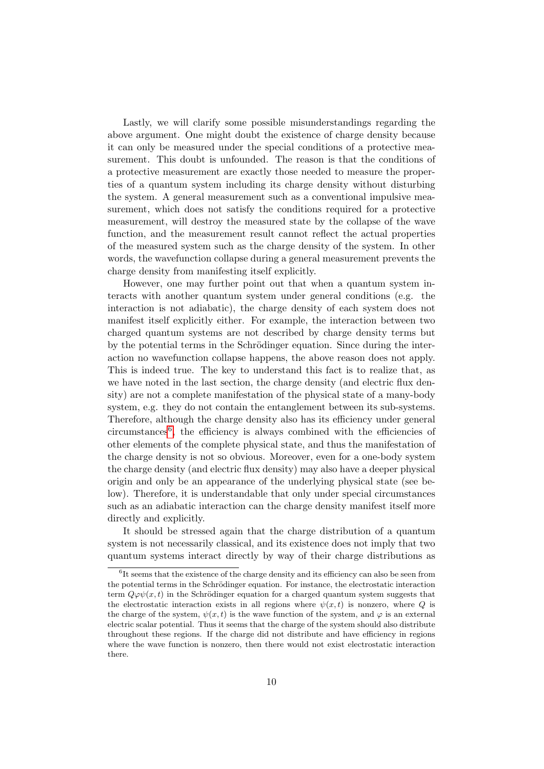Lastly, we will clarify some possible misunderstandings regarding the above argument. One might doubt the existence of charge density because it can only be measured under the special conditions of a protective measurement. This doubt is unfounded. The reason is that the conditions of a protective measurement are exactly those needed to measure the properties of a quantum system including its charge density without disturbing the system. A general measurement such as a conventional impulsive measurement, which does not satisfy the conditions required for a protective measurement, will destroy the measured state by the collapse of the wave function, and the measurement result cannot reflect the actual properties of the measured system such as the charge density of the system. In other words, the wavefunction collapse during a general measurement prevents the charge density from manifesting itself explicitly.

However, one may further point out that when a quantum system interacts with another quantum system under general conditions (e.g. the interaction is not adiabatic), the charge density of each system does not manifest itself explicitly either. For example, the interaction between two charged quantum systems are not described by charge density terms but by the potential terms in the Schrödinger equation. Since during the interaction no wavefunction collapse happens, the above reason does not apply. This is indeed true. The key to understand this fact is to realize that, as we have noted in the last section, the charge density (and electric flux density) are not a complete manifestation of the physical state of a many-body system, e.g. they do not contain the entanglement between its sub-systems. Therefore, although the charge density also has its efficiency under general circumstances<sup>[6](#page-9-0)</sup>, the efficiency is always combined with the efficiencies of other elements of the complete physical state, and thus the manifestation of the charge density is not so obvious. Moreover, even for a one-body system the charge density (and electric flux density) may also have a deeper physical origin and only be an appearance of the underlying physical state (see below). Therefore, it is understandable that only under special circumstances such as an adiabatic interaction can the charge density manifest itself more directly and explicitly.

It should be stressed again that the charge distribution of a quantum system is not necessarily classical, and its existence does not imply that two quantum systems interact directly by way of their charge distributions as

<span id="page-9-0"></span><sup>&</sup>lt;sup>6</sup>It seems that the existence of the charge density and its efficiency can also be seen from the potential terms in the Schrödinger equation. For instance, the electrostatic interaction term  $Q\varphi\psi(x,t)$  in the Schrödinger equation for a charged quantum system suggests that the electrostatic interaction exists in all regions where  $\psi(x,t)$  is nonzero, where Q is the charge of the system,  $\psi(x, t)$  is the wave function of the system, and  $\varphi$  is an external electric scalar potential. Thus it seems that the charge of the system should also distribute throughout these regions. If the charge did not distribute and have efficiency in regions where the wave function is nonzero, then there would not exist electrostatic interaction there.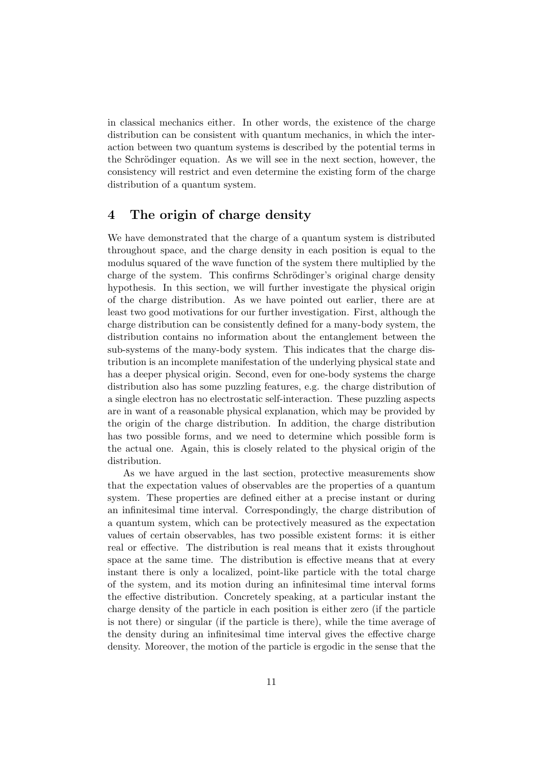in classical mechanics either. In other words, the existence of the charge distribution can be consistent with quantum mechanics, in which the interaction between two quantum systems is described by the potential terms in the Schrödinger equation. As we will see in the next section, however, the consistency will restrict and even determine the existing form of the charge distribution of a quantum system.

### 4 The origin of charge density

We have demonstrated that the charge of a quantum system is distributed throughout space, and the charge density in each position is equal to the modulus squared of the wave function of the system there multiplied by the charge of the system. This confirms Schrödinger's original charge density hypothesis. In this section, we will further investigate the physical origin of the charge distribution. As we have pointed out earlier, there are at least two good motivations for our further investigation. First, although the charge distribution can be consistently defined for a many-body system, the distribution contains no information about the entanglement between the sub-systems of the many-body system. This indicates that the charge distribution is an incomplete manifestation of the underlying physical state and has a deeper physical origin. Second, even for one-body systems the charge distribution also has some puzzling features, e.g. the charge distribution of a single electron has no electrostatic self-interaction. These puzzling aspects are in want of a reasonable physical explanation, which may be provided by the origin of the charge distribution. In addition, the charge distribution has two possible forms, and we need to determine which possible form is the actual one. Again, this is closely related to the physical origin of the distribution.

As we have argued in the last section, protective measurements show that the expectation values of observables are the properties of a quantum system. These properties are defined either at a precise instant or during an infinitesimal time interval. Correspondingly, the charge distribution of a quantum system, which can be protectively measured as the expectation values of certain observables, has two possible existent forms: it is either real or effective. The distribution is real means that it exists throughout space at the same time. The distribution is effective means that at every instant there is only a localized, point-like particle with the total charge of the system, and its motion during an infinitesimal time interval forms the effective distribution. Concretely speaking, at a particular instant the charge density of the particle in each position is either zero (if the particle is not there) or singular (if the particle is there), while the time average of the density during an infinitesimal time interval gives the effective charge density. Moreover, the motion of the particle is ergodic in the sense that the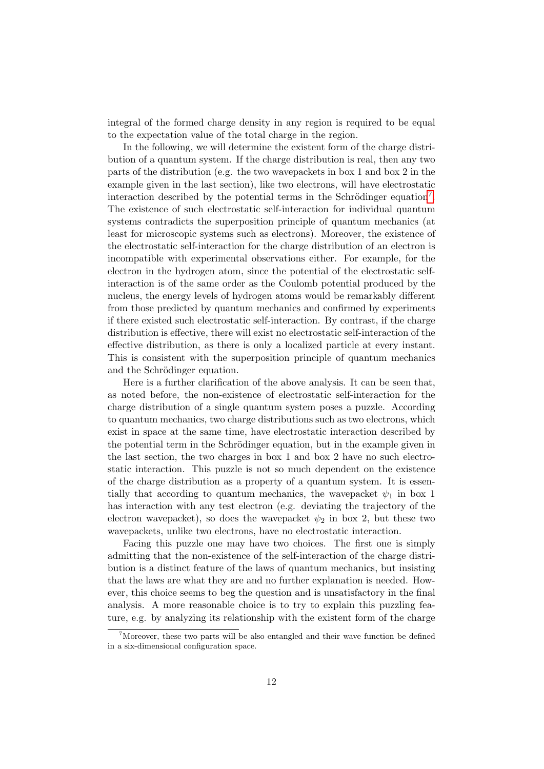integral of the formed charge density in any region is required to be equal to the expectation value of the total charge in the region.

In the following, we will determine the existent form of the charge distribution of a quantum system. If the charge distribution is real, then any two parts of the distribution (e.g. the two wavepackets in box 1 and box 2 in the example given in the last section), like two electrons, will have electrostatic interaction described by the potential terms in the Schrödinger equation<sup>[7](#page-11-0)</sup>. The existence of such electrostatic self-interaction for individual quantum systems contradicts the superposition principle of quantum mechanics (at least for microscopic systems such as electrons). Moreover, the existence of the electrostatic self-interaction for the charge distribution of an electron is incompatible with experimental observations either. For example, for the electron in the hydrogen atom, since the potential of the electrostatic selfinteraction is of the same order as the Coulomb potential produced by the nucleus, the energy levels of hydrogen atoms would be remarkably different from those predicted by quantum mechanics and confirmed by experiments if there existed such electrostatic self-interaction. By contrast, if the charge distribution is effective, there will exist no electrostatic self-interaction of the effective distribution, as there is only a localized particle at every instant. This is consistent with the superposition principle of quantum mechanics and the Schrödinger equation.

Here is a further clarification of the above analysis. It can be seen that, as noted before, the non-existence of electrostatic self-interaction for the charge distribution of a single quantum system poses a puzzle. According to quantum mechanics, two charge distributions such as two electrons, which exist in space at the same time, have electrostatic interaction described by the potential term in the Schrödinger equation, but in the example given in the last section, the two charges in box 1 and box 2 have no such electrostatic interaction. This puzzle is not so much dependent on the existence of the charge distribution as a property of a quantum system. It is essentially that according to quantum mechanics, the wavepacket  $\psi_1$  in box 1 has interaction with any test electron (e.g. deviating the trajectory of the electron wavepacket), so does the wavepacket  $\psi_2$  in box 2, but these two wavepackets, unlike two electrons, have no electrostatic interaction.

Facing this puzzle one may have two choices. The first one is simply admitting that the non-existence of the self-interaction of the charge distribution is a distinct feature of the laws of quantum mechanics, but insisting that the laws are what they are and no further explanation is needed. However, this choice seems to beg the question and is unsatisfactory in the final analysis. A more reasonable choice is to try to explain this puzzling feature, e.g. by analyzing its relationship with the existent form of the charge

<span id="page-11-0"></span> $7$ Moreover, these two parts will be also entangled and their wave function be defined in a six-dimensional configuration space.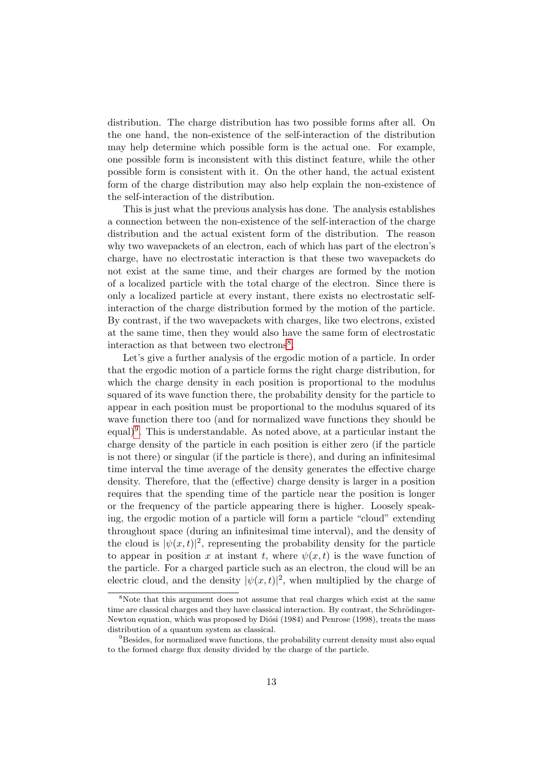distribution. The charge distribution has two possible forms after all. On the one hand, the non-existence of the self-interaction of the distribution may help determine which possible form is the actual one. For example, one possible form is inconsistent with this distinct feature, while the other possible form is consistent with it. On the other hand, the actual existent form of the charge distribution may also help explain the non-existence of the self-interaction of the distribution.

This is just what the previous analysis has done. The analysis establishes a connection between the non-existence of the self-interaction of the charge distribution and the actual existent form of the distribution. The reason why two wavepackets of an electron, each of which has part of the electron's charge, have no electrostatic interaction is that these two wavepackets do not exist at the same time, and their charges are formed by the motion of a localized particle with the total charge of the electron. Since there is only a localized particle at every instant, there exists no electrostatic selfinteraction of the charge distribution formed by the motion of the particle. By contrast, if the two wavepackets with charges, like two electrons, existed at the same time, then they would also have the same form of electrostatic interaction as that between two electrons<sup>[8](#page-12-0)</sup>.

Let's give a further analysis of the ergodic motion of a particle. In order that the ergodic motion of a particle forms the right charge distribution, for which the charge density in each position is proportional to the modulus squared of its wave function there, the probability density for the particle to appear in each position must be proportional to the modulus squared of its wave function there too (and for normalized wave functions they should be equal)[9](#page-12-1) . This is understandable. As noted above, at a particular instant the charge density of the particle in each position is either zero (if the particle is not there) or singular (if the particle is there), and during an infinitesimal time interval the time average of the density generates the effective charge density. Therefore, that the (effective) charge density is larger in a position requires that the spending time of the particle near the position is longer or the frequency of the particle appearing there is higher. Loosely speaking, the ergodic motion of a particle will form a particle "cloud" extending throughout space (during an infinitesimal time interval), and the density of the cloud is  $|\psi(x,t)|^2$ , representing the probability density for the particle to appear in position x at instant t, where  $\psi(x, t)$  is the wave function of the particle. For a charged particle such as an electron, the cloud will be an electric cloud, and the density  $|\psi(x,t)|^2$ , when multiplied by the charge of

<span id="page-12-0"></span><sup>8</sup>Note that this argument does not assume that real charges which exist at the same time are classical charges and they have classical interaction. By contrast, the Schrödinger-Newton equation, which was proposed by Diósi (1984) and Penrose (1998), treats the mass distribution of a quantum system as classical.

<span id="page-12-1"></span> $9B$ esides, for normalized wave functions, the probability current density must also equal to the formed charge flux density divided by the charge of the particle.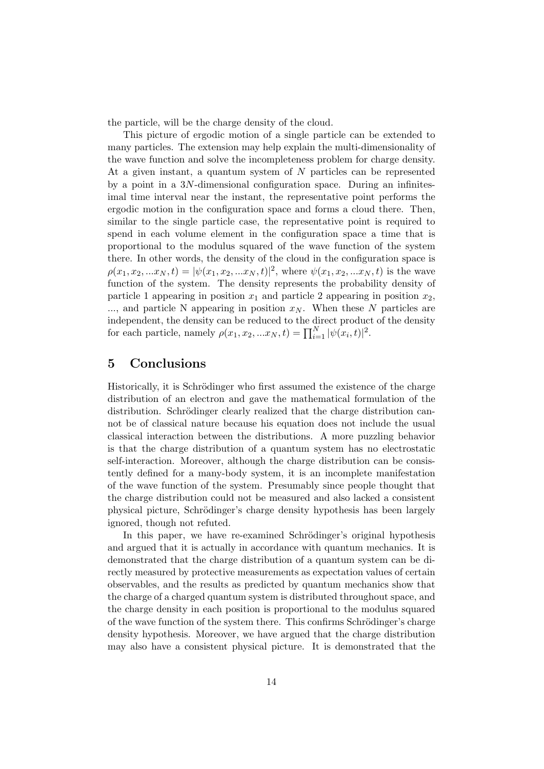the particle, will be the charge density of the cloud.

This picture of ergodic motion of a single particle can be extended to many particles. The extension may help explain the multi-dimensionality of the wave function and solve the incompleteness problem for charge density. At a given instant, a quantum system of N particles can be represented by a point in a 3N-dimensional configuration space. During an infinitesimal time interval near the instant, the representative point performs the ergodic motion in the configuration space and forms a cloud there. Then, similar to the single particle case, the representative point is required to spend in each volume element in the configuration space a time that is proportional to the modulus squared of the wave function of the system there. In other words, the density of the cloud in the configuration space is  $\rho(x_1, x_2, ... x_N, t) = |\psi(x_1, x_2, ... x_N, t)|^2$ , where  $\psi(x_1, x_2, ... x_N, t)$  is the wave function of the system. The density represents the probability density of particle 1 appearing in position  $x_1$  and particle 2 appearing in position  $x_2$ ,  $...,$  and particle N appearing in position  $x_N$ . When these N particles are independent, the density can be reduced to the direct product of the density for each particle, namely  $\rho(x_1, x_2, ... x_N, t) = \prod_{i=1}^N |\psi(x_i, t)|^2$ .

#### 5 Conclusions

Historically, it is Schrödinger who first assumed the existence of the charge distribution of an electron and gave the mathematical formulation of the distribution. Schrödinger clearly realized that the charge distribution cannot be of classical nature because his equation does not include the usual classical interaction between the distributions. A more puzzling behavior is that the charge distribution of a quantum system has no electrostatic self-interaction. Moreover, although the charge distribution can be consistently defined for a many-body system, it is an incomplete manifestation of the wave function of the system. Presumably since people thought that the charge distribution could not be measured and also lacked a consistent physical picture, Schrödinger's charge density hypothesis has been largely ignored, though not refuted.

In this paper, we have re-examined Schrödinger's original hypothesis and argued that it is actually in accordance with quantum mechanics. It is demonstrated that the charge distribution of a quantum system can be directly measured by protective measurements as expectation values of certain observables, and the results as predicted by quantum mechanics show that the charge of a charged quantum system is distributed throughout space, and the charge density in each position is proportional to the modulus squared of the wave function of the system there. This confirms Schrödinger's charge density hypothesis. Moreover, we have argued that the charge distribution may also have a consistent physical picture. It is demonstrated that the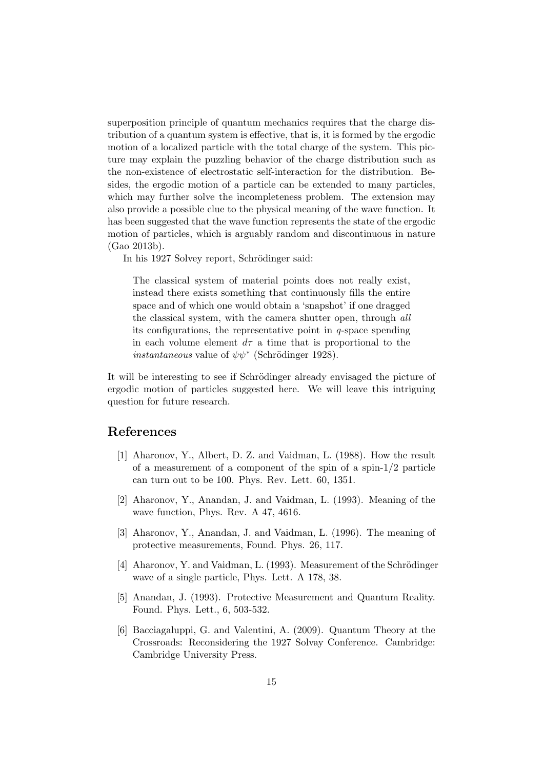superposition principle of quantum mechanics requires that the charge distribution of a quantum system is effective, that is, it is formed by the ergodic motion of a localized particle with the total charge of the system. This picture may explain the puzzling behavior of the charge distribution such as the non-existence of electrostatic self-interaction for the distribution. Besides, the ergodic motion of a particle can be extended to many particles, which may further solve the incompleteness problem. The extension may also provide a possible clue to the physical meaning of the wave function. It has been suggested that the wave function represents the state of the ergodic motion of particles, which is arguably random and discontinuous in nature (Gao 2013b).

In his 1927 Solvey report, Schrödinger said:

The classical system of material points does not really exist, instead there exists something that continuously fills the entire space and of which one would obtain a 'snapshot' if one dragged the classical system, with the camera shutter open, through all its configurations, the representative point in  $q$ -space spending in each volume element  $d\tau$  a time that is proportional to the *instantaneous* value of  $\psi \psi^*$  (Schrödinger 1928).

It will be interesting to see if Schrödinger already envisaged the picture of ergodic motion of particles suggested here. We will leave this intriguing question for future research.

# References

- [1] Aharonov, Y., Albert, D. Z. and Vaidman, L. (1988). How the result of a measurement of a component of the spin of a spin-1/2 particle can turn out to be 100. Phys. Rev. Lett. 60, 1351.
- [2] Aharonov, Y., Anandan, J. and Vaidman, L. (1993). Meaning of the wave function, Phys. Rev. A 47, 4616.
- [3] Aharonov, Y., Anandan, J. and Vaidman, L. (1996). The meaning of protective measurements, Found. Phys. 26, 117.
- [4] Aharonov, Y. and Vaidman, L.  $(1993)$ . Measurement of the Schrödinger wave of a single particle, Phys. Lett. A 178, 38.
- [5] Anandan, J. (1993). Protective Measurement and Quantum Reality. Found. Phys. Lett., 6, 503-532.
- [6] Bacciagaluppi, G. and Valentini, A. (2009). Quantum Theory at the Crossroads: Reconsidering the 1927 Solvay Conference. Cambridge: Cambridge University Press.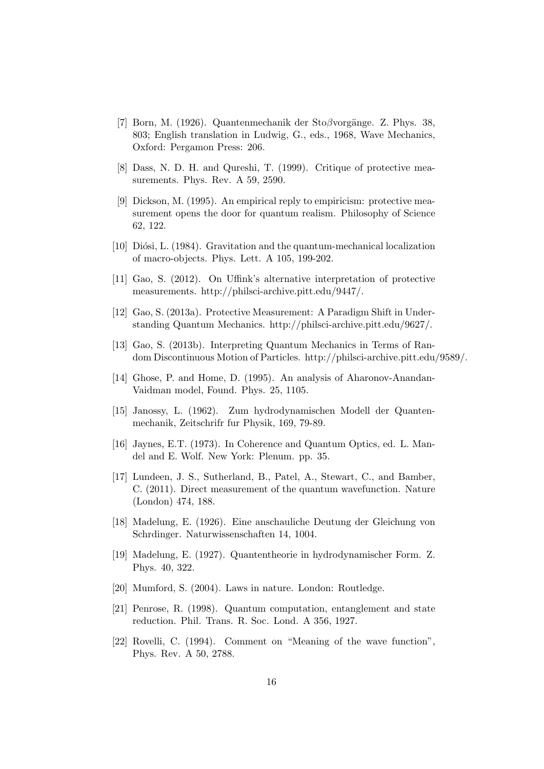- [7] Born, M. (1926). Quantenmechanik der Sto $\beta$ vorgänge. Z. Phys. 38, 803; English translation in Ludwig, G., eds., 1968, Wave Mechanics, Oxford: Pergamon Press: 206.
- [8] Dass, N. D. H. and Qureshi, T. (1999). Critique of protective measurements. Phys. Rev. A 59, 2590.
- [9] Dickson, M. (1995). An empirical reply to empiricism: protective measurement opens the door for quantum realism. Philosophy of Science 62, 122.
- [10] Diósi, L. (1984). Gravitation and the quantum-mechanical localization of macro-objects. Phys. Lett. A 105, 199-202.
- [11] Gao, S. (2012). On Uffink's alternative interpretation of protective measurements. http://philsci-archive.pitt.edu/9447/.
- [12] Gao, S. (2013a). Protective Measurement: A Paradigm Shift in Understanding Quantum Mechanics. http://philsci-archive.pitt.edu/9627/.
- [13] Gao, S. (2013b). Interpreting Quantum Mechanics in Terms of Random Discontinuous Motion of Particles. http://philsci-archive.pitt.edu/9589/.
- [14] Ghose, P. and Home, D. (1995). An analysis of Aharonov-Anandan-Vaidman model, Found. Phys. 25, 1105.
- [15] Janossy, L. (1962). Zum hydrodynamischen Modell der Quantenmechanik, Zeitschrifr fur Physik, 169, 79-89.
- [16] Jaynes, E.T. (1973). In Coherence and Quantum Optics, ed. L. Mandel and E. Wolf. New York: Plenum. pp. 35.
- [17] Lundeen, J. S., Sutherland, B., Patel, A., Stewart, C., and Bamber, C. (2011). Direct measurement of the quantum wavefunction. Nature (London) 474, 188.
- [18] Madelung, E. (1926). Eine anschauliche Deutung der Gleichung von Schrdinger. Naturwissenschaften 14, 1004.
- [19] Madelung, E. (1927). Quantentheorie in hydrodynamischer Form. Z. Phys. 40, 322.
- [20] Mumford, S. (2004). Laws in nature. London: Routledge.
- [21] Penrose, R. (1998). Quantum computation, entanglement and state reduction. Phil. Trans. R. Soc. Lond. A 356, 1927.
- [22] Rovelli, C. (1994). Comment on "Meaning of the wave function", Phys. Rev. A 50, 2788.